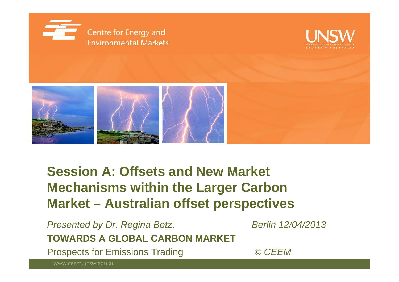





## **Session A: Offsets and New Market Offsets Mechanisms within the Larger Carbon Market – Australian offset perspectives**

Presented by Dr. Regina Betz, Berlin 12/04/2013 **TOWARDS A GLOBAL CARBON MARKET**

Prospects for Emissions Trading *© CEEM*

www.ceem.unsw.edu.au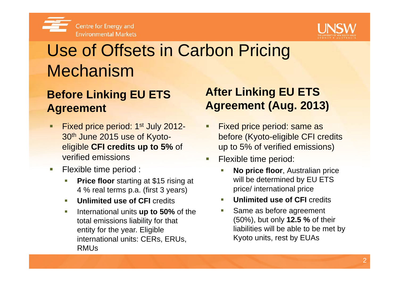



## Use of Offsets in Carbon Pricing Mechanism

### **Before Linking EU ETS Agreement**

- Г **Fixed price period: 1st July 2012-**30th June 2015 use of Kyotoeligible **CFI credits up to 5%** of verified emissions
- $\sim$  Flexible time period :
	- $\mathbb{R}^n$  **Price floor** starting at \$15 rising at 4 % real terms p.a. (first 3 years)
	- T. **Unlimited use of CFI credits**
	- $\overline{\phantom{a}}$  International units **up to 50%** of the total emissions liability for that entity for the year. Eligible international units: CERs, ERUs, Kyoto units, rest by EUAs RMUs

## **After Linking EU ETS Agreement (Aug. 2013)**

- П uly 2012- Fixed price period: same as <br>yoto- before (Kyoto-eligible CFI credits up to 5% of verified emissions)
	- П Flexible time period:
		- p **No price floor**, Australian price will be determined by EU ETS price/ international price
		- П **Unlimited use of CFI credits**
		- $\mathcal{C}$  Same as before agreement (50%), but only **12.5 %** of their liabilities will be able to be met by Kyoto units, rest by EUAs<br>22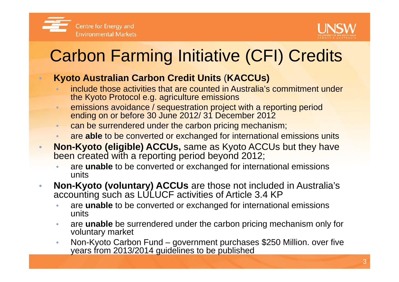

 $\bullet$ 

 $\bigcap$ 



# Carbon Farming Initiative (CFI) Credits

### **Kyoto Australian Carbon Credit Units Carbon** ( **KACCUs)**

- include those activities that are counted in Australia's commitment under the Kyoto Protocol e.g. agriculture emissions
- •**emissions avoidance / sequestration project with a reporting period** ending on or before 30 June 2012/ 31 December 2012
- •can be surrendered under the carbon pricing mechanism;
- •**•**  are able to be converted or exchanged for international emissions units
- • **Non-Kyoto (eligible) ACCUs,** same as Kyoto ACCUs but they have been created with a reporting period beyond 2012;
	- •**are unable** to be converted or exchanged for international emissions units
- • **Non-Kyoto (voluntary) ACCUs** are those not included in Australia's accounting such as LULUCF activities of Article 3.4 KP
	- •**are unable** to be converted or exchanged for international emissions units
	- $\bullet$  are **unable** be surrendered under the carbon pricing mechanism only for voluntar y market
	- • Non-Kyoto Carbon Fund – government purchases \$250 Million. over five years from 2013/2014 guidelines to be published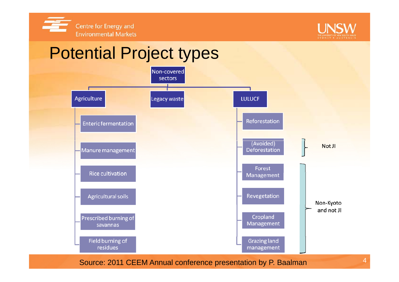



4

### Potential Project types Non-covered sectors Agriculture **LULUCF** Legacy waste Reforestation **Enteric fermentation** (Avoided) Not JI Manure management Deforestation Forest **Rice cultivation** Management Revegetation **Agricultural soils** Non-Kyoto and not JI Cropland Prescribed burning of Management savannas Field burning of **Grazing land** residues management Source: 2011 CEEM Annual conference presentation by P. Baalman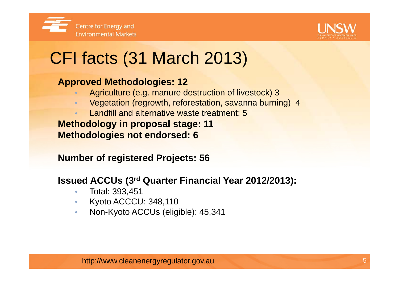



# CFI facts (31 March 2013)

### **Approved Methodologies: 12**

- Agriculture (e.g. manure destruction of livestock) 3
- $\bullet$ Vegetation (regrowth, reforestation, savanna burning) 4
- •Landfill and alternative waste treatment: 5

**Methodology in proposal stage: 11 Methodologies not endorsed: 6**

**Number of registered Projects: 56**

**Issued ACCUs (3rd Quarter Financial Year 2012/2013):** 

- •Total: 393,451
- •Kyoto ACCCU: 348,110
- $\bullet$ Non-Kyoto ACCUs (eligible): 45,341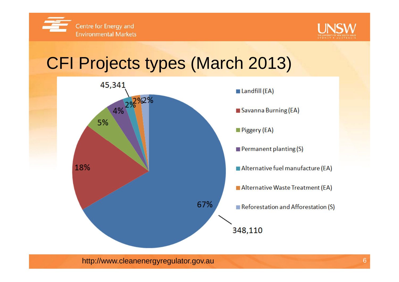



## CFI Projects types (March 2013)



http://www.cleanenergyregulator.gov.au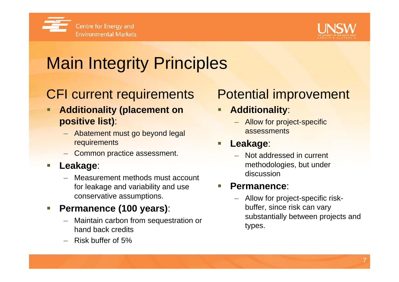



# Main Integrity Principles

## CFI current requirements

- Ξ **Additionality (placement on positive list)**:
	- Abatement must go beyond legal **i Leak**
	- Common practice assessment.

#### Ξ **Leakage**:

 Measurement methods must account for leakage and variability and use conservative assumptions.

### Ξ **Permanence (100 years):**

- Maintain carbon from sequestration or hand back credits
- Risk buffer of 5%

## Potential improvement

- **Additionality**:
	- Allow for project-specific assessments

#### **Lea kage**: Ξ

 Not addressed in current methodologies, but under discussion

#### Ξ **Permanence**:

 Allow for project-specific risk buffer, since risk can vary substantially between projects and types.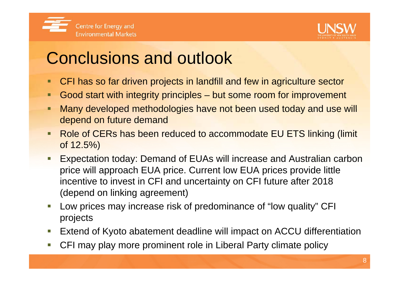

## Conclusions and outlook

- CFI has so far driven projects in landfill and few in agriculture sector
- $\blacksquare$ Good start with integrity principles – but some room for improvement
- Many developed methodologies have not been used today and use will depend on future demand
- Role of CERs has been reduced to accommodate EU ETS linking (limit of 12.5%)
- Expectation today: Demand of EUAs will increase and Australian carbon price will approach EUA price. Current low EUA prices provide little incentive to invest in CFI and uncertainty on CFI future after 2018 (depend on linking agreement)
- Ξ Low prices may increase risk of predominance of "low quality" CFI projects
- Extend of Kyoto abatement deadline will impact on ACCU differentiation
- Ξ CFI may play more prominent role in Liberal Party climate policy